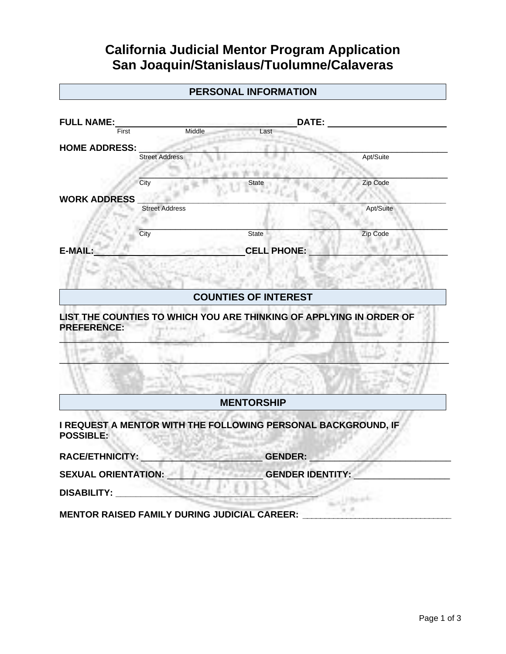## **California Judicial Mentor Program Application San Joaquin/Stanislaus/Tuolumne/Calaveras**

| <b>FULL NAME:</b><br>Middle<br>First<br><b>Street Address</b>                                                                                                                                                                          | DATE:<br>Last               |           |
|----------------------------------------------------------------------------------------------------------------------------------------------------------------------------------------------------------------------------------------|-----------------------------|-----------|
|                                                                                                                                                                                                                                        |                             |           |
| <b>HOME ADDRESS:</b>                                                                                                                                                                                                                   |                             |           |
|                                                                                                                                                                                                                                        |                             |           |
|                                                                                                                                                                                                                                        |                             | Apt/Suite |
| City                                                                                                                                                                                                                                   | State                       | Zip Code  |
| <b>WORK ADDRESS</b>                                                                                                                                                                                                                    |                             |           |
| <b>Street Address</b>                                                                                                                                                                                                                  |                             | Apt/Suite |
| City                                                                                                                                                                                                                                   | <b>State</b>                | Zip Code  |
| E-MAIL:                                                                                                                                                                                                                                | <b>CELL PHONE:</b>          |           |
|                                                                                                                                                                                                                                        | <b>COUNTIES OF INTEREST</b> |           |
|                                                                                                                                                                                                                                        |                             |           |
|                                                                                                                                                                                                                                        |                             |           |
|                                                                                                                                                                                                                                        | <b>MENTORSHIP</b>           |           |
|                                                                                                                                                                                                                                        |                             |           |
|                                                                                                                                                                                                                                        | <b>GENDER:</b>              |           |
| LIST THE COUNTIES TO WHICH YOU ARE THINKING OF APPLYING IN ORDER OF<br><b>PREFERENCE:</b><br>I REQUEST A MENTOR WITH THE FOLLOWING PERSONAL BACKGROUND, IF<br><b>POSSIBLE:</b><br><b>RACE/ETHNICITY:</b><br><b>SEXUAL ORIENTATION:</b> | <b>GENDER IDENTITY:</b>     |           |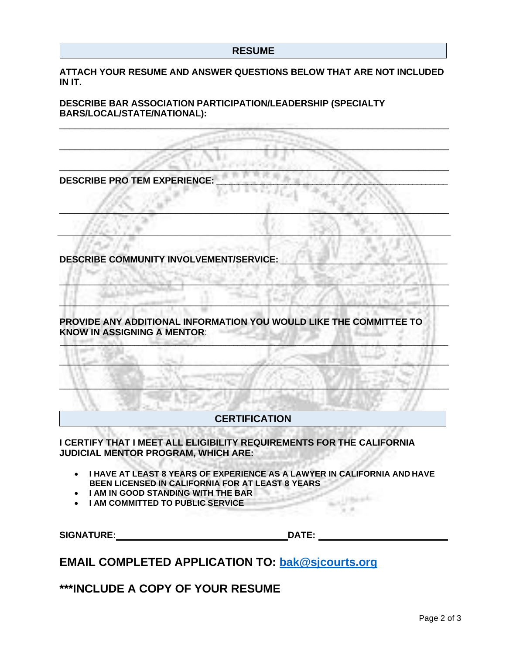**ATTACH YOUR RESUME AND ANSWER QUESTIONS BELOW THAT ARE NOT INCLUDED IN IT.**

\_\_\_\_\_\_\_\_\_\_\_\_\_\_\_\_\_\_\_\_\_\_\_\_\_\_\_\_\_\_\_\_\_\_\_\_\_\_\_\_\_\_\_\_\_\_\_\_\_\_\_\_\_\_\_\_\_\_\_\_\_\_\_\_\_\_\_\_\_\_\_\_\_\_\_\_\_

 $\mathcal{L} = \{ \mathcal{L} \mid \mathcal{L} \in \mathcal{L} \}$  , where  $\mathcal{L} = \{ \mathcal{L} \mid \mathcal{L} \in \mathcal{L} \}$  , where  $\mathcal{L} = \{ \mathcal{L} \mid \mathcal{L} \in \mathcal{L} \}$ 

 $\ldots$  . Although the second contract  $\ldots$  . The second contract  $\ldots$ 

 $\mathcal{L} = \{ \mathcal{L} \mathcal{L} \mathcal{L} \mathcal{L} \mathcal{L} \mathcal{L} \mathcal{L} \mathcal{L} \mathcal{L} \mathcal{L} \mathcal{L} \mathcal{L} \mathcal{L} \mathcal{L} \mathcal{L} \mathcal{L} \mathcal{L} \mathcal{L} \mathcal{L} \mathcal{L} \mathcal{L} \mathcal{L} \mathcal{L} \mathcal{L} \mathcal{L} \mathcal{L} \mathcal{L} \mathcal{L} \mathcal{L} \mathcal{L} \mathcal{L} \mathcal{L} \mathcal{L} \mathcal{L} \mathcal{L} \$ 

\_\_\_\_\_\_\_\_\_\_\_\_\_\_\_\_\_\_\_\_\_\_\_\_\_\_\_\_\_\_\_\_\_\_\_\_\_\_\_\_\_\_\_\_\_\_\_\_\_\_\_\_\_\_\_\_\_\_\_\_\_\_\_\_\_\_\_\_\_\_\_\_\_\_\_\_\_\_\_\_\_\_\_\_\_\_\_\_\_\_\_\_\_\_\_\_\_\_\_\_\_\_\_\_\_\_\_

\_\_\_\_\_\_\_\_\_\_\_\_\_\_\_\_\_\_\_\_\_\_\_\_\_\_\_\_\_\_\_\_\_\_\_\_\_\_\_\_\_\_\_\_\_\_\_\_\_\_\_\_\_\_\_\_\_\_\_\_\_\_\_\_\_\_\_\_\_\_\_\_\_\_\_\_\_

 $\Box$  . The second contract  $\Box$  . The second that  $\Box$  is the second contract of  $\Box$  . The second contract of  $\Box$ 

 $\Box$ 

 $\Box$  ,  $\Box$  ,  $\Box$  ,  $\Box$  ,  $\Box$  ,  $\Box$  ,  $\Box$  ,  $\Box$  ,  $\Box$  ,  $\Box$  ,  $\Box$  ,  $\Box$  ,  $\Box$  ,  $\Box$  ,  $\Box$  ,  $\Box$  ,  $\Box$  ,  $\Box$  ,  $\Box$  ,  $\Box$  ,  $\Box$  ,  $\Box$  ,  $\Box$  ,  $\Box$  ,  $\Box$  ,  $\Box$  ,  $\Box$  ,  $\Box$  ,  $\Box$  ,  $\Box$  ,  $\Box$  ,  $\Box$ 

 $\Box$ 

**DESCRIBE BAR ASSOCIATION PARTICIPATION/LEADERSHIP (SPECIALTY BARS/LOCAL/STATE/NATIONAL):**

**DESCRIBE PRO TEM EXPERIENCE: \_\_\_\_\_\_\_\_\_\_\_\_\_\_\_\_\_\_\_\_\_\_\_\_\_\_\_\_\_\_\_\_\_\_\_\_\_\_\_\_\_\_\_\_\_\_\_\_\_\_\_\_\_**

**DESCRIBE COMMUNITY INVOLVEMENT/SERVICE:** 

**PROVIDE ANY ADDITIONAL INFORMATION YOU WOULD LIKE THE COMMITTEE TO KNOW IN ASSIGNING A MENTOR**:

## **CERTIFICATION**

**I CERTIFY THAT I MEET ALL ELIGIBILITY REQUIREMENTS FOR THE CALIFORNIA JUDICIAL MENTOR PROGRAM, WHICH ARE:**

- **I HAVE AT LEAST 8 YEARS OF EXPERIENCE AS A LAWYER IN CALIFORNIA AND HAVE BEEN LICENSED IN CALIFORNIA FOR AT LEAST 8 YEARS**
- **I AM IN GOOD STANDING WITH THE BAR**
- **I AM COMMITTED TO PUBLIC SERVICE**

**SIGNATURE: DATE:**

Super-Stringer

**EMAIL COMPLETED APPLICATION TO: [bak@sjcourts.org](mailto:bak@sjcourts.org)**

**\*\*\*INCLUDE A COPY OF YOUR RESUME**